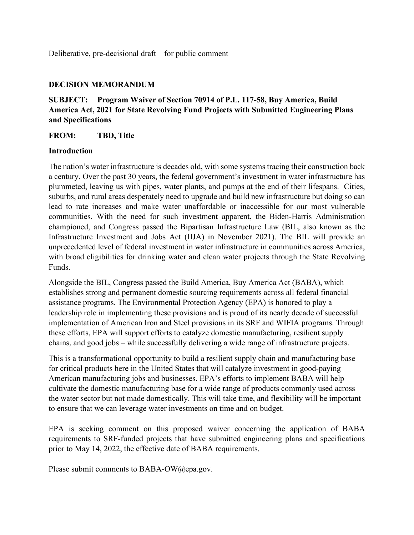Deliberative, pre-decisional draft – for public comment

#### **DECISION MEMORANDUM**

# **SUBJECT: Program Waiver of Section 70914 of P.L. 117-58, Buy America, Build America Act, 2021 for State Revolving Fund Projects with Submitted Engineering Plans and Specifications**

#### **FROM: TBD, Title**

#### **Introduction**

 plummeted, leaving us with pipes, water plants, and pumps at the end of their lifespans. Cities, suburbs, and rural areas desperately need to upgrade and build new infrastructure but doing so can lead to rate increases and make water unaffordable or inaccessible for our most vulnerable The nation's water infrastructure is decades old, with some systems tracing their construction back a century. Over the past 30 years, the federal government's investment in water infrastructure has communities. With the need for such investment apparent, the Biden-Harris Administration championed, and Congress passed the Bipartisan Infrastructure Law (BIL, also known as the Infrastructure Investment and Jobs Act (IIJA) in November 2021). The BIL will provide an unprecedented level of federal investment in water infrastructure in communities across America, with broad eligibilities for drinking water and clean water projects through the State Revolving Funds.

 chains, and good jobs – while successfully delivering a wide range of infrastructure projects. Alongside the BIL, Congress passed the Build America, Buy America Act (BABA), which establishes strong and permanent domestic sourcing requirements across all federal financial assistance programs. The Environmental Protection Agency (EPA) is honored to play a leadership role in implementing these provisions and is proud of its nearly decade of successful implementation of American Iron and Steel provisions in its SRF and WIFIA programs. Through these efforts, EPA will support efforts to catalyze domestic manufacturing, resilient supply

to ensure that we can leverage water investments on time and on budget. This is a transformational opportunity to build a resilient supply chain and manufacturing base for critical products here in the United States that will catalyze investment in good-paying American manufacturing jobs and businesses. EPA's efforts to implement BABA will help cultivate the domestic manufacturing base for a wide range of products commonly used across the water sector but not made domestically. This will take time, and flexibility will be important

 to ensure that we can leverage water investments on time and on budget. EPA is seeking comment on this proposed waiver concerning the application of BABA requirements to SRF-funded projects that have submitted engineering plans and specifications prior to May 14, 2022, the effective date of BABA requirements.

Please submit comments to [BABA-OW@epa.gov.](mailto:BABA-OW@epa.gov)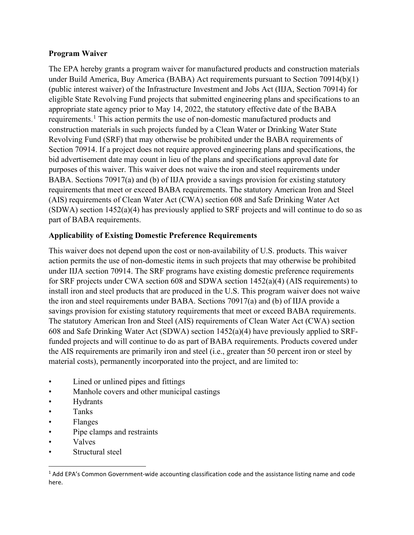#### **Program Waiver**

 The EPA hereby grants a program waiver for manufactured products and construction materials under Build America, Buy America (BABA) Act requirements pursuant to Section 70914(b)(1) Revolving Fund (SRF) that may otherwise be prohibited under the BABA requirements of purposes of this waiver. This waiver does not waive the iron and steel requirements under (public interest waiver) of the Infrastructure Investment and Jobs Act (IIJA, Section 70914) for eligible State Revolving Fund projects that submitted engineering plans and specifications to an appropriate state agency prior to May 14, 2022, the statutory effective date of the BABA requirements.<sup>[1](#page-1-0)</sup> This action permits the use of non-domestic manufactured products and construction materials in such projects funded by a Clean Water or Drinking Water State Section 70914. If a project does not require approved engineering plans and specifications, the bid advertisement date may count in lieu of the plans and specifications approval date for BABA. Sections 70917(a) and (b) of IIJA provide a savings provision for existing statutory requirements that meet or exceed BABA requirements. The statutory American Iron and Steel (AIS) requirements of Clean Water Act (CWA) section 608 and Safe Drinking Water Act (SDWA) section 1452(a)(4) has previously applied to SRF projects and will continue to do so as part of BABA requirements.

### **Applicability of Existing Domestic Preference Requirements**

 action permits the use of non-domestic items in such projects that may otherwise be prohibited for SRF projects under CWA section 608 and SDWA section 1452(a)(4) (AIS requirements) to the iron and steel requirements under BABA. Sections 70917(a) and (b) of IIJA provide a The statutory American Iron and Steel (AIS) requirements of Clean Water Act (CWA) section This waiver does not depend upon the cost or non-availability of U.S. products. This waiver under IIJA section 70914. The SRF programs have existing domestic preference requirements install iron and steel products that are produced in the U.S. This program waiver does not waive savings provision for existing statutory requirements that meet or exceed BABA requirements. 608 and Safe Drinking Water Act (SDWA) section 1452(a)(4) have previously applied to SRFfunded projects and will continue to do as part of BABA requirements. Products covered under the AIS requirements are primarily iron and steel (i.e., greater than 50 percent iron or steel by material costs), permanently incorporated into the project, and are limited to:

- Lined or unlined pipes and fittings
- Lined or unlined pipes and fittings<br>• Manhole covers and other municipal castings<br>• Tanks
- Hydrants
- $\bullet$
- Flanges
- Pipe clamps and restraints
- **Valves**
- Structural steel

<span id="page-1-0"></span><sup>&</sup>lt;sup>1</sup> Add EPA's Common Government-wide accounting classification code and the assistance listing name and code here.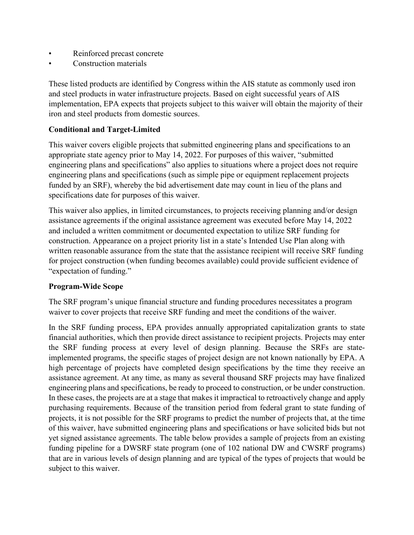- Reinforced precast concrete
- Construction materials

These listed products are identified by Congress within the AIS statute as commonly used iron and steel products in water infrastructure projects. Based on eight successful years of AIS implementation, EPA expects that projects subject to this waiver will obtain the majority of their iron and steel products from domestic sources.

## **Conditional and Target-Limited**

 engineering plans and specifications" also applies to situations where a project does not require This waiver covers eligible projects that submitted engineering plans and specifications to an appropriate state agency prior to May 14, 2022. For purposes of this waiver, "submitted engineering plans and specifications (such as simple pipe or equipment replacement projects funded by an SRF), whereby the bid advertisement date may count in lieu of the plans and specifications date for purposes of this waiver.

 assistance agreements if the original assistance agreement was executed before May 14, 2022 and included a written commitment or documented expectation to utilize SRF funding for construction. Appearance on a project priority list in a state's Intended Use Plan along with written reasonable assurance from the state that the assistance recipient will receive SRF funding for project construction (when funding becomes available) could provide sufficient evidence of "expectation of funding." This waiver also applies, in limited circumstances, to projects receiving planning and/or design

### **Program-Wide Scope**

The SRF program's unique financial structure and funding procedures necessitates a program waiver to cover projects that receive SRF funding and meet the conditions of the waiver.

 In the SRF funding process, EPA provides annually appropriated capitalization grants to state financial authorities, which then provide direct assistance to recipient projects. Projects may enter the SRF funding process at every level of design planning. Because the SRFs are stateimplemented programs, the specific stages of project design are not known nationally by EPA. A high percentage of projects have completed design specifications by the time they receive an assistance agreement. At any time, as many as several thousand SRF projects may have finalized engineering plans and specifications, be ready to proceed to construction, or be under construction. In these cases, the projects are at a stage that makes it impractical to retroactively change and apply purchasing requirements. Because of the transition period from federal grant to state funding of projects, it is not possible for the SRF programs to predict the number of projects that, at the time of this waiver, have submitted engineering plans and specifications or have solicited bids but not yet signed assistance agreements. The table below provides a sample of projects from an existing funding pipeline for a DWSRF state program (one of 102 national DW and CWSRF programs) that are in various levels of design planning and are typical of the types of projects that would be subject to this waiver.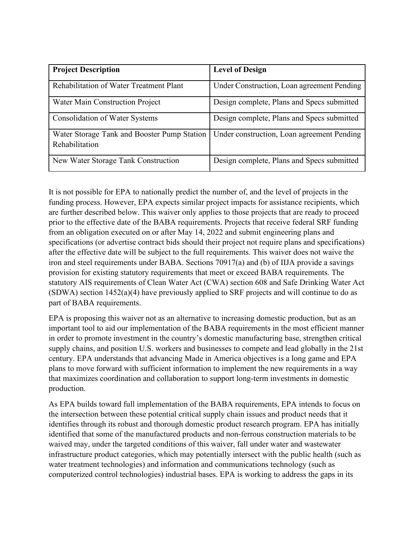| <b>Project Description</b>                                    | <b>Level of Design</b>                     |
|---------------------------------------------------------------|--------------------------------------------|
| Rehabilitation of Water Treatment Plant                       | Under Construction, Loan agreement Pending |
| Water Main Construction Project                               | Design complete, Plans and Specs submitted |
| <b>Consolidation of Water Systems</b>                         | Design complete, Plans and Specs submitted |
| Water Storage Tank and Booster Pump Station<br>Rehabilitation | Under construction, Loan agreement Pending |
| New Water Storage Tank Construction                           | Design complete, Plans and Specs submitted |

 It is not possible for EPA to nationally predict the number of, and the level of projects in the from an obligation executed on or after May 14, 2022 and submit engineering plans and funding process. However, EPA expects similar project impacts for assistance recipients, which are further described below. This waiver only applies to those projects that are ready to proceed prior to the effective date of the BABA requirements. Projects that receive federal SRF funding specifications (or advertise contract bids should their project not require plans and specifications) after the effective date will be subject to the full requirements. This waiver does not waive the iron and steel requirements under BABA. Sections 70917(a) and (b) of IIJA provide a savings provision for existing statutory requirements that meet or exceed BABA requirements. The statutory AIS requirements of Clean Water Act (CWA) section 608 and Safe Drinking Water Act (SDWA) section 1452(a)(4) have previously applied to SRF projects and will continue to do as part of BABA requirements.

EPA is proposing this waiver not as an alternative to increasing domestic production, but as an important tool to aid our implementation of the BABA requirements in the most efficient manner in order to promote investment in the country's domestic manufacturing base, strengthen critical supply chains, and position U.S. workers and businesses to compete and lead globally in the 21st century. EPA understands that advancing Made in America objectives is a long game and EPA plans to move forward with sufficient information to implement the new requirements in a way that maximizes coordination and collaboration to support long-term investments in domestic production.

 waived may, under the targeted conditions of this waiver, fall under water and wastewater As EPA builds toward full implementation of the BABA requirements, EPA intends to focus on the intersection between these potential critical supply chain issues and product needs that it identifies through its robust and thorough domestic product research program. EPA has initially identified that some of the manufactured products and non-ferrous construction materials to be infrastructure product categories, which may potentially intersect with the public health (such as water treatment technologies) and information and communications technology (such as computerized control technologies) industrial bases. EPA is working to address the gaps in its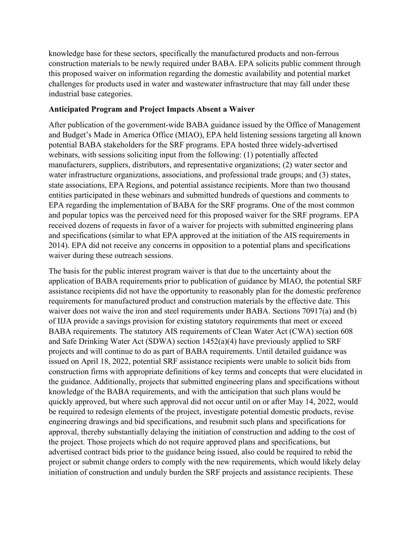construction materials to be newly required under BABA. EPA solicits public comment through knowledge base for these sectors, specifically the manufactured products and non-ferrous this proposed waiver on information regarding the domestic availability and potential market challenges for products used in water and wastewater infrastructure that may fall under these industrial base categories.

#### **Anticipated Program and Project Impacts Absent a Waiver**

 and popular topics was the perceived need for this proposed waiver for the SRF programs. EPA received dozens of requests in favor of a waiver for projects with submitted engineering plans waiver during these outreach sessions. After publication of the government-wide BABA guidance issued by the Office of Management and Budget's Made in America Office (MIAO), EPA held listening sessions targeting all known potential BABA stakeholders for the SRF programs. EPA hosted three widely-advertised webinars, with sessions soliciting input from the following: (1) potentially affected manufacturers, suppliers, distributors, and representative organizations; (2) water sector and water infrastructure organizations, associations, and professional trade groups; and (3) states, state associations, EPA Regions, and potential assistance recipients. More than two thousand entities participated in these webinars and submitted hundreds of questions and comments to EPA regarding the implementation of BABA for the SRF programs. One of the most common and specifications (similar to what EPA approved at the initiation of the AIS requirements in 2014). EPA did not receive any concerns in opposition to a potential plans and specifications

 approval, thereby substantially delaying the initiation of construction and adding to the cost of The basis for the public interest program waiver is that due to the uncertainty about the application of BABA requirements prior to publication of guidance by MIAO, the potential SRF assistance recipients did not have the opportunity to reasonably plan for the domestic preference requirements for manufactured product and construction materials by the effective date. This waiver does not waive the iron and steel requirements under BABA. Sections 70917(a) and (b) of IIJA provide a savings provision for existing statutory requirements that meet or exceed BABA requirements. The statutory AIS requirements of Clean Water Act (CWA) section 608 and Safe Drinking Water Act (SDWA) section 1452(a)(4) have previously applied to SRF projects and will continue to do as part of BABA requirements. Until detailed guidance was issued on April 18, 2022, potential SRF assistance recipients were unable to solicit bids from construction firms with appropriate definitions of key terms and concepts that were elucidated in the guidance. Additionally, projects that submitted engineering plans and specifications without knowledge of the BABA requirements, and with the anticipation that such plans would be quickly approved, but where such approval did not occur until on or after May 14, 2022, would be required to redesign elements of the project, investigate potential domestic products, revise engineering drawings and bid specifications, and resubmit such plans and specifications for the project. Those projects which do not require approved plans and specifications, but advertised contract bids prior to the guidance being issued, also could be required to rebid the project or submit change orders to comply with the new requirements, which would likely delay initiation of construction and unduly burden the SRF projects and assistance recipients. These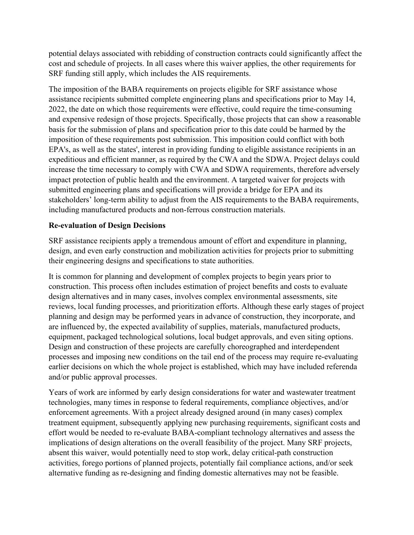SRF funding still apply, which includes the AIS requirements. potential delays associated with rebidding of construction contracts could significantly affect the cost and schedule of projects. In all cases where this waiver applies, the other requirements for

 expeditious and efficient manner, as required by the CWA and the SDWA. Project delays could submitted engineering plans and specifications will provide a bridge for EPA and its including manufactured products and non-ferrous construction materials. The imposition of the BABA requirements on projects eligible for SRF assistance whose assistance recipients submitted complete engineering plans and specifications prior to May 14, 2022, the date on which those requirements were effective, could require the time-consuming and expensive redesign of those projects. Specifically, those projects that can show a reasonable basis for the submission of plans and specification prior to this date could be harmed by the imposition of these requirements post submission. This imposition could conflict with both EPA's, as well as the states', interest in providing funding to eligible assistance recipients in an increase the time necessary to comply with CWA and SDWA requirements, therefore adversely impact protection of public health and the environment. A targeted waiver for projects with stakeholders' long-term ability to adjust from the AIS requirements to the BABA requirements,

### **Re-evaluation of Design Decisions**

SRF assistance recipients apply a tremendous amount of effort and expenditure in planning, design, and even early construction and mobilization activities for projects prior to submitting their engineering designs and specifications to state authorities.

It is common for planning and development of complex projects to begin years prior to construction. This process often includes estimation of project benefits and costs to evaluate design alternatives and in many cases, involves complex environmental assessments, site reviews, local funding processes, and prioritization efforts. Although these early stages of project planning and design may be performed years in advance of construction, they incorporate, and are influenced by, the expected availability of supplies, materials, manufactured products, equipment, packaged technological solutions, local budget approvals, and even siting options. Design and construction of these projects are carefully choreographed and interdependent processes and imposing new conditions on the tail end of the process may require re-evaluating earlier decisions on which the whole project is established, which may have included referenda and/or public approval processes.

 enforcement agreements. With a project already designed around (in many cases) complex implications of design alterations on the overall feasibility of the project. Many SRF projects, Years of work are informed by early design considerations for water and wastewater treatment technologies, many times in response to federal requirements, compliance objectives, and/or treatment equipment, subsequently applying new purchasing requirements, significant costs and effort would be needed to re-evaluate BABA-compliant technology alternatives and assess the absent this waiver, would potentially need to stop work, delay critical-path construction activities, forego portions of planned projects, potentially fail compliance actions, and/or seek alternative funding as re-designing and finding domestic alternatives may not be feasible.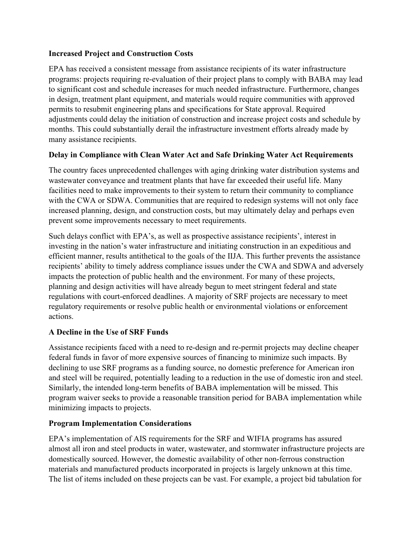## **Increased Project and Construction Costs**

EPA has received a consistent message from assistance recipients of its water infrastructure programs: projects requiring re-evaluation of their project plans to comply with BABA may lead to significant cost and schedule increases for much needed infrastructure. Furthermore, changes in design, treatment plant equipment, and materials would require communities with approved permits to resubmit engineering plans and specifications for State approval. Required adjustments could delay the initiation of construction and increase project costs and schedule by months. This could substantially derail the infrastructure investment efforts already made by many assistance recipients.

# **Delay in Compliance with Clean Water Act and Safe Drinking Water Act Requirements**

The country faces unprecedented challenges with aging drinking water distribution systems and wastewater conveyance and treatment plants that have far exceeded their useful life. Many facilities need to make improvements to their system to return their community to compliance with the CWA or SDWA. Communities that are required to redesign systems will not only face increased planning, design, and construction costs, but may ultimately delay and perhaps even prevent some improvements necessary to meet requirements.

 recipients' ability to timely address compliance issues under the CWA and SDWA and adversely regulations with court-enforced deadlines. A majority of SRF projects are necessary to meet Such delays conflict with EPA's, as well as prospective assistance recipients', interest in investing in the nation's water infrastructure and initiating construction in an expeditious and efficient manner, results antithetical to the goals of the IIJA. This further prevents the assistance impacts the protection of public health and the environment. For many of these projects, planning and design activities will have already begun to meet stringent federal and state regulatory requirements or resolve public health or environmental violations or enforcement actions.

# **A Decline in the Use of SRF Funds**

Assistance recipients faced with a need to re-design and re-permit projects may decline cheaper federal funds in favor of more expensive sources of financing to minimize such impacts. By declining to use SRF programs as a funding source, no domestic preference for American iron and steel will be required, potentially leading to a reduction in the use of domestic iron and steel. Similarly, the intended long-term benefits of BABA implementation will be missed. This program waiver seeks to provide a reasonable transition period for BABA implementation while minimizing impacts to projects.

# **Program Implementation Considerations**

EPA's implementation of AIS requirements for the SRF and WIFIA programs has assured almost all iron and steel products in water, wastewater, and stormwater infrastructure projects are domestically sourced. However, the domestic availability of other non-ferrous construction materials and manufactured products incorporated in projects is largely unknown at this time. The list of items included on these projects can be vast. For example, a project bid tabulation for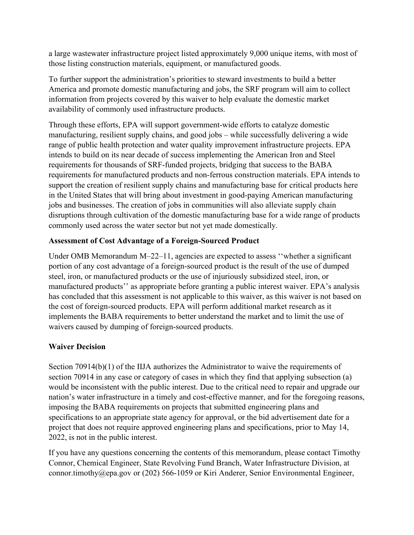a large wastewater infrastructure project listed approximately 9,000 unique items, with most of those listing construction materials, equipment, or manufactured goods.

To further support the administration's priorities to steward investments to build a better America and promote domestic manufacturing and jobs, the SRF program will aim to collect information from projects covered by this waiver to help evaluate the domestic market availability of commonly used infrastructure products.

 manufacturing, resilient supply chains, and good jobs – while successfully delivering a wide jobs and businesses. The creation of jobs in communities will also alleviate supply chain disruptions through cultivation of the domestic manufacturing base for a wide range of products Through these efforts, EPA will support government-wide efforts to catalyze domestic range of public health protection and water quality improvement infrastructure projects. EPA intends to build on its near decade of success implementing the American Iron and Steel requirements for thousands of SRF-funded projects, bridging that success to the BABA requirements for manufactured products and non-ferrous construction materials. EPA intends to support the creation of resilient supply chains and manufacturing base for critical products here in the United States that will bring about investment in good-paying American manufacturing commonly used across the water sector but not yet made domestically.

## **Assessment of Cost Advantage of a Foreign-Sourced Product**

 steel, iron, or manufactured products or the use of injuriously subsidized steel, iron, or manufactured products'' as appropriate before granting a public interest waiver. EPA's analysis the cost of foreign-sourced products. EPA will perform additional market research as it implements the BABA requirements to better understand the market and to limit the use of Under OMB Memorandum M–22–11, agencies are expected to assess ''whether a significant portion of any cost advantage of a foreign-sourced product is the result of the use of dumped has concluded that this assessment is not applicable to this waiver, as this waiver is not based on waivers caused by dumping of foreign-sourced products.

# **Waiver Decision**

Section 70914(b)(1) of the IIJA authorizes the Administrator to waive the requirements of section 70914 in any case or category of cases in which they find that applying subsection (a) nation's water infrastructure in a timely and cost-effective manner, and for the foregoing reasons, 2022, is not in the public interest. would be inconsistent with the public interest. Due to the critical need to repair and upgrade our imposing the BABA requirements on projects that submitted engineering plans and specifications to an appropriate state agency for approval, or the bid advertisement date for a project that does not require approved engineering plans and specifications, prior to May 14,

 [connor.timothy@epa.gov](mailto:connor.timothy@epa.gov) or (202) 566-1059 or Kiri Anderer, Senior Environmental Engineer, If you have any questions concerning the contents of this memorandum, please contact Timothy Connor, Chemical Engineer, State Revolving Fund Branch, Water Infrastructure Division, at